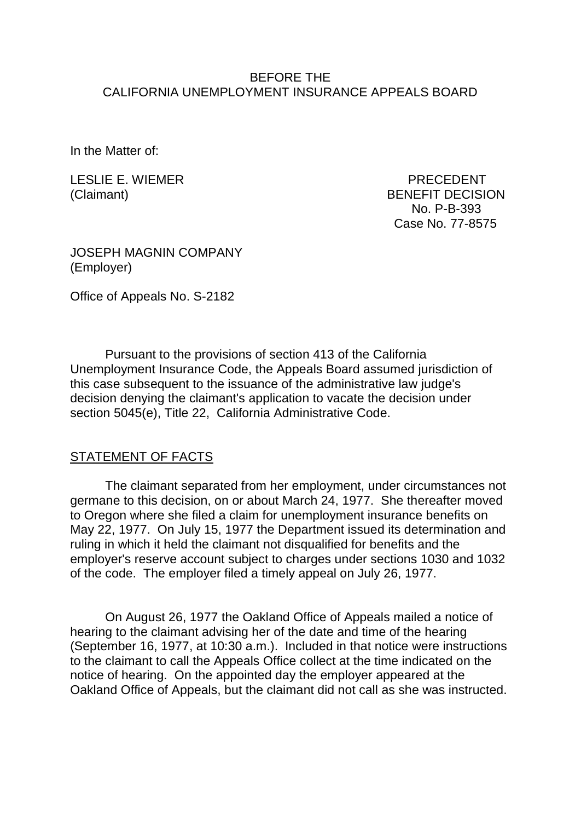### BEFORE THE CALIFORNIA UNEMPLOYMENT INSURANCE APPEALS BOARD

In the Matter of:

LESLIE E. WIEMER PRECEDENT

(Claimant) BENEFIT DECISION No. P-B-393 Case No. 77-8575

JOSEPH MAGNIN COMPANY (Employer)

Office of Appeals No. S-2182

Pursuant to the provisions of section 413 of the California Unemployment Insurance Code, the Appeals Board assumed jurisdiction of this case subsequent to the issuance of the administrative law judge's decision denying the claimant's application to vacate the decision under section 5045(e), Title 22, California Administrative Code.

#### STATEMENT OF FACTS

The claimant separated from her employment, under circumstances not germane to this decision, on or about March 24, 1977. She thereafter moved to Oregon where she filed a claim for unemployment insurance benefits on May 22, 1977. On July 15, 1977 the Department issued its determination and ruling in which it held the claimant not disqualified for benefits and the employer's reserve account subject to charges under sections 1030 and 1032 of the code. The employer filed a timely appeal on July 26, 1977.

On August 26, 1977 the Oakland Office of Appeals mailed a notice of hearing to the claimant advising her of the date and time of the hearing (September 16, 1977, at 10:30 a.m.). Included in that notice were instructions to the claimant to call the Appeals Office collect at the time indicated on the notice of hearing. On the appointed day the employer appeared at the Oakland Office of Appeals, but the claimant did not call as she was instructed.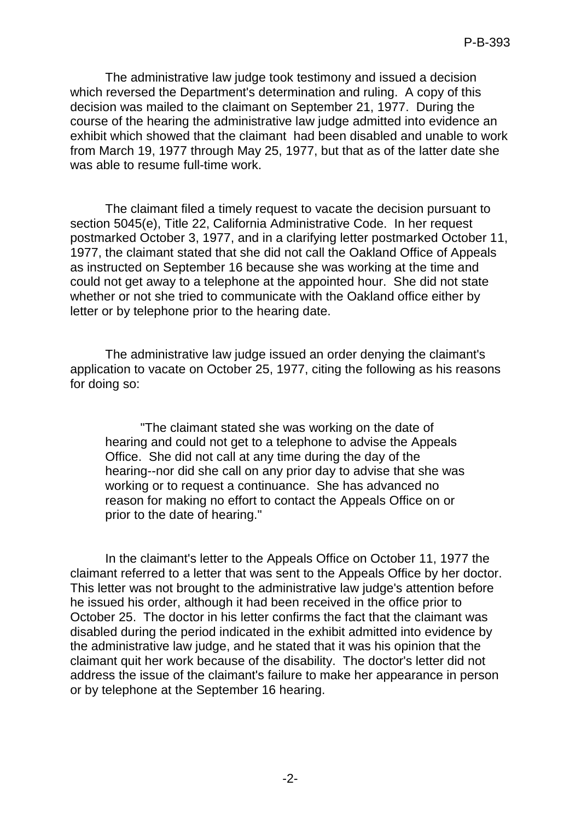The administrative law judge took testimony and issued a decision which reversed the Department's determination and ruling. A copy of this decision was mailed to the claimant on September 21, 1977. During the course of the hearing the administrative law judge admitted into evidence an exhibit which showed that the claimant had been disabled and unable to work from March 19, 1977 through May 25, 1977, but that as of the latter date she was able to resume full-time work.

The claimant filed a timely request to vacate the decision pursuant to section 5045(e), Title 22, California Administrative Code. In her request postmarked October 3, 1977, and in a clarifying letter postmarked October 11, 1977, the claimant stated that she did not call the Oakland Office of Appeals as instructed on September 16 because she was working at the time and could not get away to a telephone at the appointed hour. She did not state whether or not she tried to communicate with the Oakland office either by letter or by telephone prior to the hearing date.

The administrative law judge issued an order denying the claimant's application to vacate on October 25, 1977, citing the following as his reasons for doing so:

"The claimant stated she was working on the date of hearing and could not get to a telephone to advise the Appeals Office. She did not call at any time during the day of the hearing--nor did she call on any prior day to advise that she was working or to request a continuance. She has advanced no reason for making no effort to contact the Appeals Office on or prior to the date of hearing."

In the claimant's letter to the Appeals Office on October 11, 1977 the claimant referred to a letter that was sent to the Appeals Office by her doctor. This letter was not brought to the administrative law judge's attention before he issued his order, although it had been received in the office prior to October 25. The doctor in his letter confirms the fact that the claimant was disabled during the period indicated in the exhibit admitted into evidence by the administrative law judge, and he stated that it was his opinion that the claimant quit her work because of the disability. The doctor's letter did not address the issue of the claimant's failure to make her appearance in person or by telephone at the September 16 hearing.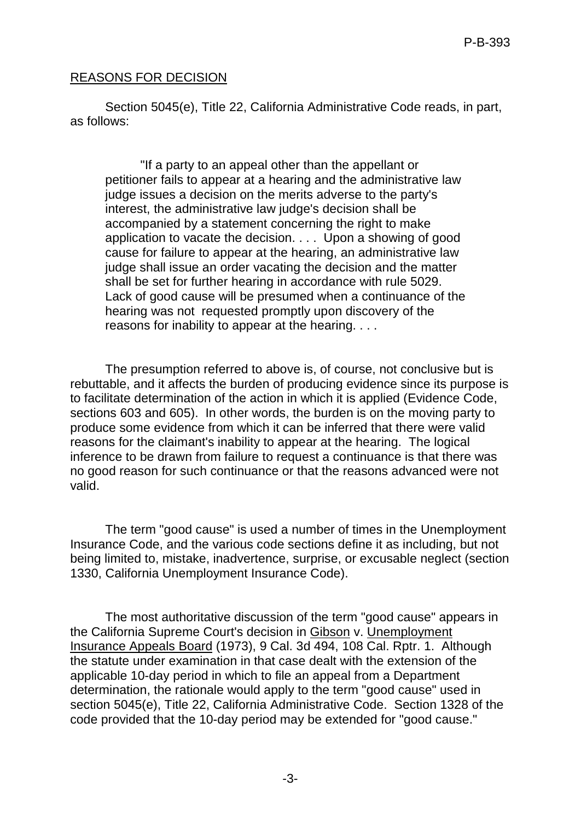## REASONS FOR DECISION

Section 5045(e), Title 22, California Administrative Code reads, in part, as follows:

"If a party to an appeal other than the appellant or petitioner fails to appear at a hearing and the administrative law judge issues a decision on the merits adverse to the party's interest, the administrative law judge's decision shall be accompanied by a statement concerning the right to make application to vacate the decision. . . . Upon a showing of good cause for failure to appear at the hearing, an administrative law judge shall issue an order vacating the decision and the matter shall be set for further hearing in accordance with rule 5029. Lack of good cause will be presumed when a continuance of the hearing was not requested promptly upon discovery of the reasons for inability to appear at the hearing. . . .

The presumption referred to above is, of course, not conclusive but is rebuttable, and it affects the burden of producing evidence since its purpose is to facilitate determination of the action in which it is applied (Evidence Code, sections 603 and 605). In other words, the burden is on the moving party to produce some evidence from which it can be inferred that there were valid reasons for the claimant's inability to appear at the hearing. The logical inference to be drawn from failure to request a continuance is that there was no good reason for such continuance or that the reasons advanced were not valid.

The term "good cause" is used a number of times in the Unemployment Insurance Code, and the various code sections define it as including, but not being limited to, mistake, inadvertence, surprise, or excusable neglect (section 1330, California Unemployment Insurance Code).

The most authoritative discussion of the term "good cause" appears in the California Supreme Court's decision in Gibson v. Unemployment Insurance Appeals Board (1973), 9 Cal. 3d 494, 108 Cal. Rptr. 1. Although the statute under examination in that case dealt with the extension of the applicable 10-day period in which to file an appeal from a Department determination, the rationale would apply to the term "good cause" used in section 5045(e), Title 22, California Administrative Code. Section 1328 of the code provided that the 10-day period may be extended for "good cause."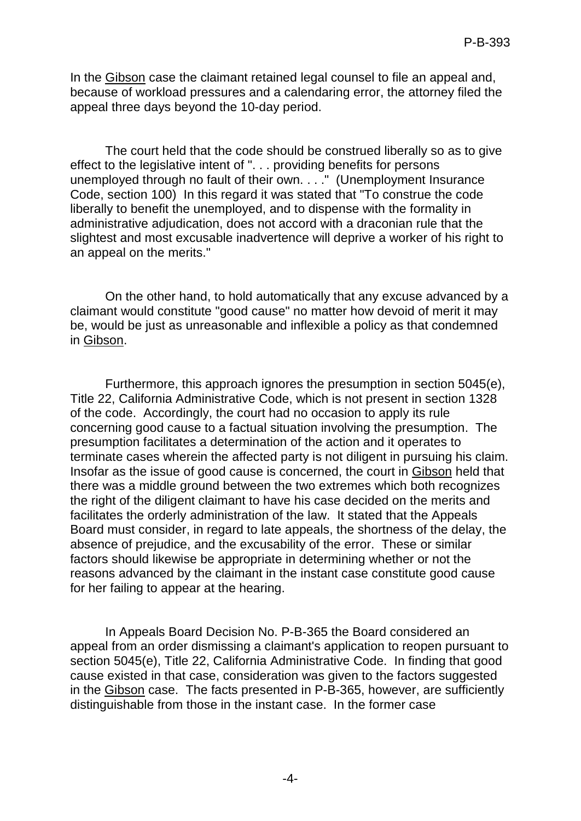In the Gibson case the claimant retained legal counsel to file an appeal and, because of workload pressures and a calendaring error, the attorney filed the appeal three days beyond the 10-day period.

The court held that the code should be construed liberally so as to give effect to the legislative intent of ". . . providing benefits for persons unemployed through no fault of their own. . . ." (Unemployment Insurance Code, section 100) In this regard it was stated that "To construe the code liberally to benefit the unemployed, and to dispense with the formality in administrative adjudication, does not accord with a draconian rule that the slightest and most excusable inadvertence will deprive a worker of his right to an appeal on the merits."

On the other hand, to hold automatically that any excuse advanced by a claimant would constitute "good cause" no matter how devoid of merit it may be, would be just as unreasonable and inflexible a policy as that condemned in Gibson.

Furthermore, this approach ignores the presumption in section 5045(e), Title 22, California Administrative Code, which is not present in section 1328 of the code. Accordingly, the court had no occasion to apply its rule concerning good cause to a factual situation involving the presumption. The presumption facilitates a determination of the action and it operates to terminate cases wherein the affected party is not diligent in pursuing his claim. Insofar as the issue of good cause is concerned, the court in Gibson held that there was a middle ground between the two extremes which both recognizes the right of the diligent claimant to have his case decided on the merits and facilitates the orderly administration of the law. It stated that the Appeals Board must consider, in regard to late appeals, the shortness of the delay, the absence of prejudice, and the excusability of the error. These or similar factors should likewise be appropriate in determining whether or not the reasons advanced by the claimant in the instant case constitute good cause for her failing to appear at the hearing.

In Appeals Board Decision No. P-B-365 the Board considered an appeal from an order dismissing a claimant's application to reopen pursuant to section 5045(e), Title 22, California Administrative Code. In finding that good cause existed in that case, consideration was given to the factors suggested in the Gibson case. The facts presented in P-B-365, however, are sufficiently distinguishable from those in the instant case. In the former case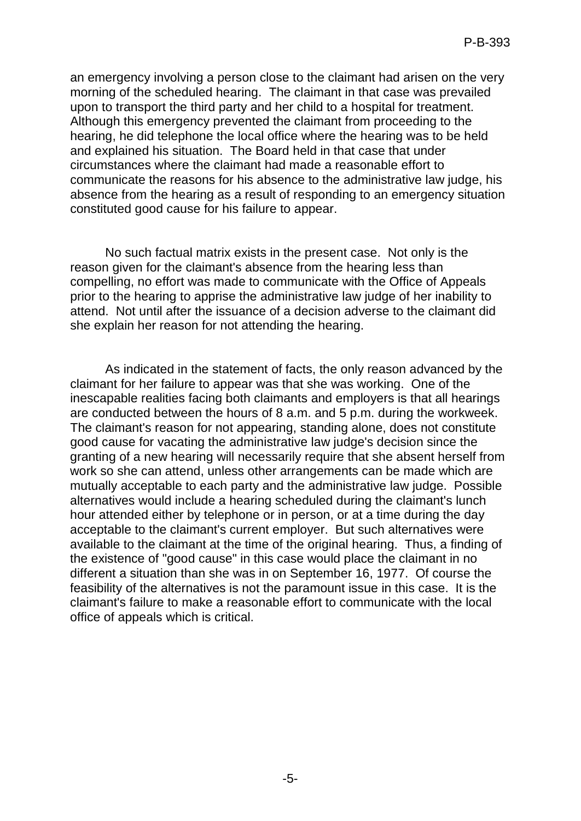an emergency involving a person close to the claimant had arisen on the very morning of the scheduled hearing. The claimant in that case was prevailed upon to transport the third party and her child to a hospital for treatment. Although this emergency prevented the claimant from proceeding to the hearing, he did telephone the local office where the hearing was to be held and explained his situation. The Board held in that case that under circumstances where the claimant had made a reasonable effort to communicate the reasons for his absence to the administrative law judge, his absence from the hearing as a result of responding to an emergency situation constituted good cause for his failure to appear.

No such factual matrix exists in the present case. Not only is the reason given for the claimant's absence from the hearing less than compelling, no effort was made to communicate with the Office of Appeals prior to the hearing to apprise the administrative law judge of her inability to attend. Not until after the issuance of a decision adverse to the claimant did she explain her reason for not attending the hearing.

As indicated in the statement of facts, the only reason advanced by the claimant for her failure to appear was that she was working. One of the inescapable realities facing both claimants and employers is that all hearings are conducted between the hours of 8 a.m. and 5 p.m. during the workweek. The claimant's reason for not appearing, standing alone, does not constitute good cause for vacating the administrative law judge's decision since the granting of a new hearing will necessarily require that she absent herself from work so she can attend, unless other arrangements can be made which are mutually acceptable to each party and the administrative law judge. Possible alternatives would include a hearing scheduled during the claimant's lunch hour attended either by telephone or in person, or at a time during the day acceptable to the claimant's current employer. But such alternatives were available to the claimant at the time of the original hearing. Thus, a finding of the existence of "good cause" in this case would place the claimant in no different a situation than she was in on September 16, 1977. Of course the feasibility of the alternatives is not the paramount issue in this case. It is the claimant's failure to make a reasonable effort to communicate with the local office of appeals which is critical.